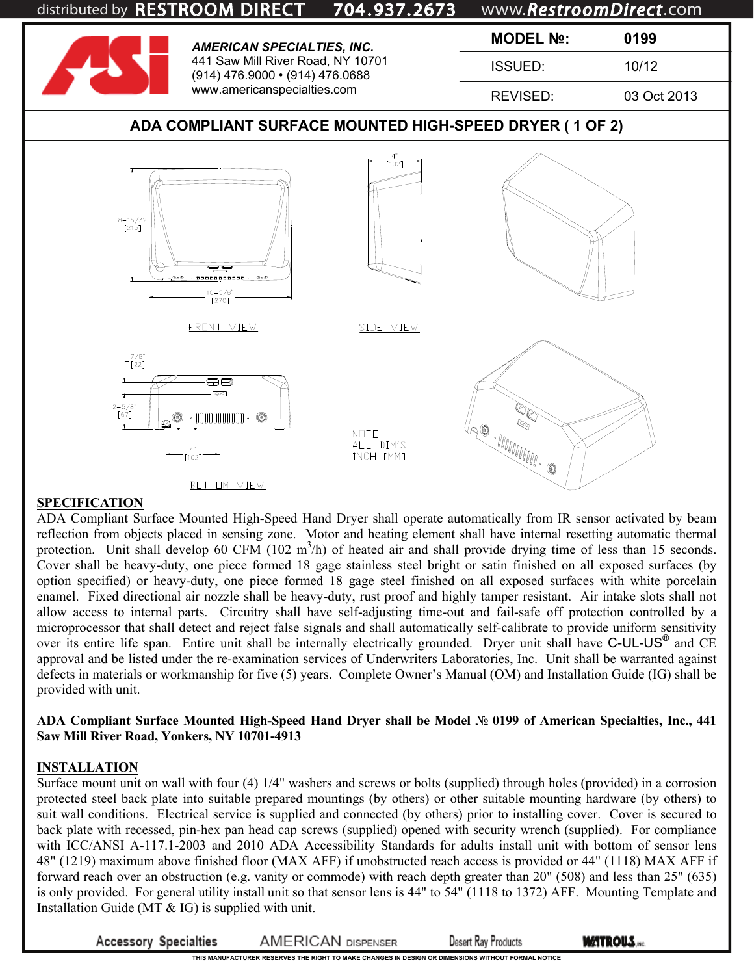

### **SPECIFICATION**

ADA Compliant Surface Mounted High-Speed Hand Dryer shall operate automatically from IR sensor activated by beam reflection from objects placed in sensing zone. Motor and heating element shall have internal resetting automatic thermal protection. Unit shall develop 60 CFM  $(102 \text{ m}^3/\text{h})$  of heated air and shall provide drying time of less than 15 seconds. Cover shall be heavy-duty, one piece formed 18 gage stainless steel bright or satin finished on all exposed surfaces (by option specified) or heavy-duty, one piece formed 18 gage steel finished on all exposed surfaces with white porcelain enamel. Fixed directional air nozzle shall be heavy-duty, rust proof and highly tamper resistant. Air intake slots shall not allow access to internal parts. Circuitry shall have self-adjusting time-out and fail-safe off protection controlled by a microprocessor that shall detect and reject false signals and shall automatically self-calibrate to provide uniform sensitivity over its entire life span. Entire unit shall be internally electrically grounded. Dryer unit shall have C-UL-US<sup>®</sup> and CE approval and be listed under the re-examination services of Underwriters Laboratories, Inc. Unit shall be warranted against defects in materials or workmanship for five (5) years. Complete Owner's Manual (OM) and Installation Guide (IG) shall be provided with unit.

### **ADA Compliant Surface Mounted High-Speed Hand Dryer shall be Model** № **0199 of American Specialties, Inc., 441 Saw Mill River Road, Yonkers, NY 10701-4913**

#### **INSTALLATION**

Surface mount unit on wall with four (4) 1/4" washers and screws or bolts (supplied) through holes (provided) in a corrosion protected steel back plate into suitable prepared mountings (by others) or other suitable mounting hardware (by others) to suit wall conditions. Electrical service is supplied and connected (by others) prior to installing cover. Cover is secured to back plate with recessed, pin-hex pan head cap screws (supplied) opened with security wrench (supplied). For compliance with ICC/ANSI A-117.1-2003 and 2010 ADA Accessibility Standards for adults install unit with bottom of sensor lens 48" (1219) maximum above finished floor (MAX AFF) if unobstructed reach access is provided or 44" (1118) MAX AFF if forward reach over an obstruction (e.g. vanity or commode) with reach depth greater than 20" (508) and less than 25" (635) is only provided. For general utility install unit so that sensor lens is 44" to 54" (1118 to 1372) AFF. Mounting Template and Installation Guide (MT & IG) is supplied with unit.

**Accessory Specialties** 

**AMERICAN DISPENSER** 

**Desert Ray Products** 

**WATROUS.**NC.

**THIS MANUFACTURER RESERVES THE RIGHT TO MAKE CHANGES IN DESIGN OR DIMENSIONS WITHOUT FORMAL NOTICE**